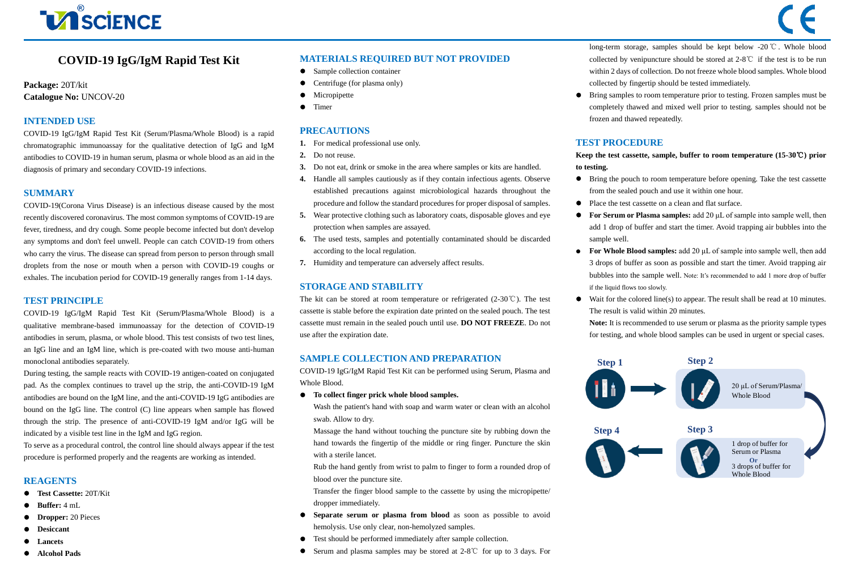# **VISCIENCE**

# **COVID-19 IgG/IgM Rapid Test Kit**

#### **Package:** 20T/kit **Catalogue No:** UNCOV-20

### **INTENDED USE**

COVID-19 IgG/IgM Rapid Test Kit (Serum/Plasma/Whole Blood) is a rapid chromatographic immunoassay for the qualitative detection of IgG and IgM antibodies to COVID-19 in human serum, plasma or whole blood as an aid in the diagnosis of primary and secondary COVID-19 infections.

#### **SUMMARY**

COVID-19(Corona Virus Disease) is an infectious disease caused by the most recently discovered coronavirus. The most common symptoms of COVID-19 are fever, tiredness, and dry cough. Some people become infected but don't develop any symptoms and don't feel unwell. People can catch COVID-19 from others who carry the virus. The disease can spread from person to person through small droplets from the nose or mouth when a person with COVID-19 coughs or exhales. The incubation period for COVID-19 generally ranges from 1-14 days.

#### **TEST PRINCIPLE**

COVID-19 IgG/IgM Rapid Test Kit (Serum/Plasma/Whole Blood) is a qualitative membrane-based immunoassay for the detection of COVID-19 antibodies in serum, plasma, or whole blood. This test consists of two test lines, an IgG line and an IgM line, which is pre-coated with two mouse anti-human monoclonal antibodies separately.

During testing, the sample reacts with COVID-19 antigen-coated on conjugated pad. As the complex continues to travel up the strip, the anti-COVID-19 IgM antibodies are bound on the IgM line, and the anti-COVID-19 IgG antibodies are bound on the IgG line. The control (C) line appears when sample has flowed through the strip. The presence of anti-COVID-19 IgM and/or IgG will be indicated by a visible test line in the IgM and IgG region.

To serve as a procedural control, the control line should always appear if the test procedure is performed properly and the reagents are working as intended.

#### **REAGENTS**

- **Test Cassette:** 20T/Kit
- **Buffer:** 4 mL
- **Dropper:** 20 Pieces
- **Desiccant**
- **Lancets**
- **Alcohol Pads**

#### **MATERIALS REQUIRED BUT NOT PROVIDED**

l,

- Sample collection container
- Centrifuge (for plasma only)
- Micropipette
- **•** Timer

#### **PRECAUTIONS**

- **1.** For medical professional use only.
- **2.** Do not reuse.
- **3.** Do not eat, drink or smoke in the area where samples or kits are handled.
- **4.** Handle all samples cautiously as if they contain infectious agents. Observe established precautions against microbiological hazards throughout the procedure and follow the standard procedures for proper disposal of samples.
- **5.** Wear protective clothing such as laboratory coats, disposable gloves and eye protection when samples are assayed.
- **6.** The used tests, samples and potentially contaminated should be discarded according to the local regulation.
- **7.** Humidity and temperature can adversely affect results.

#### **STORAGE AND STABILITY**

The kit can be stored at room temperature or refrigerated (2-30℃). The test cassette is stable before the expiration date printed on the sealed pouch. The test cassette must remain in the sealed pouch until use. **DO NOT FREEZE**. Do not use after the expiration date.

#### **SAMPLE COLLECTION AND PREPARATION**

COVID-19 IgG/IgM Rapid Test Kit can be performed using Serum, Plasma and Whole Blood.

**To collect finger prick whole blood samples.**

Wash the patient's hand with soap and warm water or clean with an alcohol swab. Allow to dry.

Massage the hand without touching the puncture site by rubbing down the hand towards the fingertip of the middle or ring finger. Puncture the skin with a sterile lancet.

Rub the hand gently from wrist to palm to finger to form a rounded drop of blood over the puncture site.

Transfer the finger blood sample to the cassette by using the micropipette/ dropper immediately.

- **Separate serum or plasma from blood** as soon as possible to avoid hemolysis. Use only clear, non-hemolyzed samples.
- Test should be performed immediately after sample collection.
- Serum and plasma samples may be stored at 2-8℃ for up to 3 days. For

long-term storage, samples should be kept below -20℃. Whole blood collected by venipuncture should be stored at 2-8℃ if the test is to be run within 2 days of collection. Do not freeze whole blood samples. Whole blood collected by fingertip should be tested immediately.

 Bring samples to room temperature prior to testing. Frozen samples must be completely thawed and mixed well prior to testing. samples should not be frozen and thawed repeatedly.

#### **TEST PROCEDURE**

**Keep the test cassette, sample, buffer to room temperature (15-30**℃**) prior to testing.** 

- Bring the pouch to room temperature before opening. Take the test cassette from the sealed pouch and use it within one hour.
- Place the test cassette on a clean and flat surface.
- **For Serum or Plasma samples:** add 20 μL of sample into sample well, then add 1 drop of buffer and start the timer. Avoid trapping air bubbles into the sample well.
- **For Whole Blood samples:** add 20 μL of sample into sample well, then add 3 drops of buffer as soon as possible and start the timer. Avoid trapping air bubbles into the sample well. Note: It's recommended to add 1 more drop of buffer if the liquid flows too slowly.
- Wait for the colored line(s) to appear. The result shall be read at 10 minutes. The result is valid within 20 minutes.

**Note:** It is recommended to use serum or plasma as the priority sample types for testing, and whole blood samples can be used in urgent or special cases.